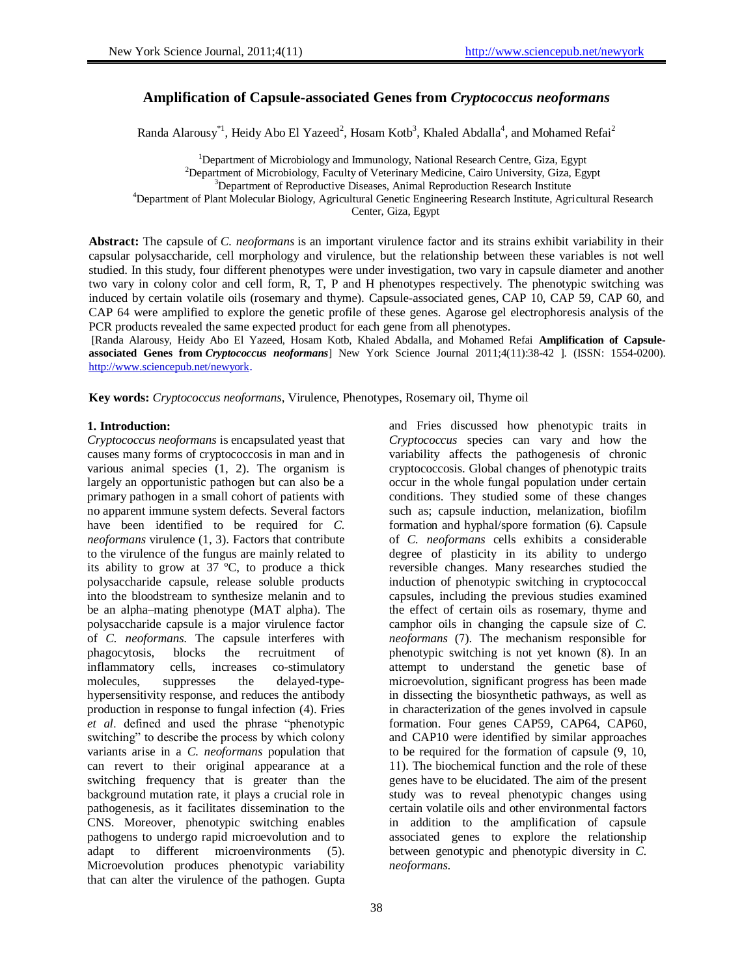# **Amplification of Capsule-associated Genes from** *Cryptococcus neoformans*

Randa Alarousy<sup>\*1</sup>, Heidy Abo El Yazeed<sup>2</sup>, Hosam Kotb<sup>3</sup>, Khaled Abdalla<sup>4</sup>, and Mohamed Refai<sup>2</sup>

<sup>1</sup>Department of Microbiology and Immunology, National Research Centre, Giza, Egypt <sup>2</sup>Department of Microbiology, Faculty of Veterinary Medicine, Cairo University, Giza, Egypt <sup>3</sup>Department of Reproductive Diseases, Animal Reproduction Research Institute <sup>4</sup>Department of Plant Molecular Biology, Agricultural Genetic Engineering Research Institute, Agricultural Research Center, Giza, Egypt

**Abstract:** The capsule of *C. neoformans* is an important virulence factor and its strains exhibit variability in their capsular polysaccharide, cell morphology and virulence, but the relationship between these variables is not well studied. In this study, four different phenotypes were under investigation, two vary in capsule diameter and another two vary in colony color and cell form, R, T, P and H phenotypes respectively. The phenotypic switching was induced by certain volatile oils (rosemary and thyme). Capsule-associated genes, CAP 10, CAP 59, CAP 60, and CAP 64 were amplified to explore the genetic profile of these genes. Agarose gel electrophoresis analysis of the PCR products revealed the same expected product for each gene from all phenotypes.

[Randa Alarousy, Heidy Abo El Yazeed, Hosam Kotb, Khaled Abdalla, and Mohamed Refai **Amplification of Capsuleassociated Genes from** *Cryptococcus neoformans*] New York Science Journal 2011;4(11):38-42 ]. (ISSN: 1554-0200). <http://www.sciencepub.net/newyork>.

**Key words:** *Cryptococcus neoformans*, Virulence, Phenotypes, Rosemary oil, Thyme oil

#### **1. Introduction:**

*Cryptococcus neoformans* is encapsulated yeast that causes many forms of cryptococcosis in man and in various animal species (1, 2). The organism is largely an opportunistic pathogen but can also be a primary pathogen in a small cohort of patients with no apparent immune system defects. Several factors have been identified to be required for *C. neoformans* virulence (1, 3). Factors that contribute to the virulence of the fungus are mainly related to its ability to grow at  $37^{\circ}$ C, to produce a thick polysaccharide capsule, release soluble products into the bloodstream to synthesize melanin and to be an alpha–mating phenotype (MAT alpha). The polysaccharide capsule is a major virulence factor of *C. neoformans*. The capsule interferes with phagocytosis, blocks the recruitment of inflammatory cells, increases co-stimulatory molecules, suppresses the delayed-typehypersensitivity response, and reduces the antibody production in response to fungal infection (4). Fries *et al*. defined and used the phrase "phenotypic switching" to describe the process by which colony variants arise in a *C. neoformans* population that can revert to their original appearance at a switching frequency that is greater than the background mutation rate, it plays a crucial role in pathogenesis, as it facilitates dissemination to the CNS. Moreover, phenotypic switching enables pathogens to undergo rapid microevolution and to adapt to different microenvironments (5). Microevolution produces phenotypic variability that can alter the virulence of the pathogen. Gupta

and Fries discussed how phenotypic traits in *Cryptococcus* species can vary and how the variability affects the pathogenesis of chronic cryptococcosis. Global changes of phenotypic traits occur in the whole fungal population under certain conditions. They studied some of these changes such as; capsule induction, melanization, biofilm formation and hyphal/spore formation (6). Capsule of *C. neoformans* cells exhibits a considerable degree of plasticity in its ability to undergo reversible changes. Many researches studied the induction of phenotypic switching in cryptococcal capsules, including the previous studies examined the effect of certain oils as rosemary, thyme and camphor oils in changing the capsule size of *C. neoformans* (7). The mechanism responsible for phenotypic switching is not yet known (8). In an attempt to understand the genetic base of microevolution, significant progress has been made in dissecting the biosynthetic pathways, as well as in characterization of the genes involved in capsule formation. Four genes CAP59*,* CAP64*,* CAP60*,*  and CAP10 were identified by similar approaches to be required for the formation of capsule (9, 10, 11). The biochemical function and the role of these genes have to be elucidated. The aim of the present study was to reveal phenotypic changes using certain volatile oils and other environmental factors in addition to the amplification of capsule associated genes to explore the relationship between genotypic and phenotypic diversity in *C. neoformans*.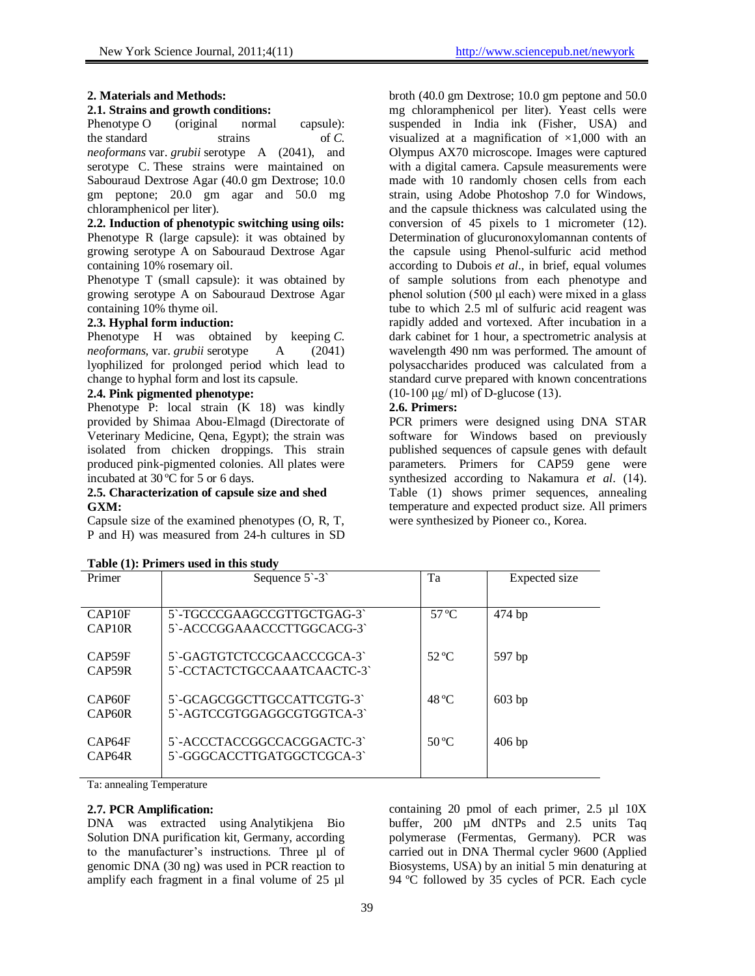## **2. Materials and Methods:**

## **2.1. Strains and growth conditions:**

Phenotype O (original normal capsule): the standard strains of *C*. *neoformans* var. *grubii* serotype A (2041), and serotype C. These strains were maintained on Sabouraud Dextrose Agar (40.0 gm Dextrose; 10.0 gm peptone; 20.0 gm agar and 50.0 mg chloramphenicol per liter).

**2.2. Induction of phenotypic switching using oils:** Phenotype R (large capsule): it was obtained by growing serotype A on Sabouraud Dextrose Agar containing 10% rosemary oil.

Phenotype T (small capsule): it was obtained by growing serotype A on Sabouraud Dextrose Agar containing 10% thyme oil.

## **2.3. Hyphal form induction:**

Phenotype H was obtained by keeping *C. neoformans,* var. *grubii* serotype A (2041) lyophilized for prolonged period which lead to change to hyphal form and lost its capsule.

## **2.4. Pink pigmented phenotype:**

Phenotype P: local strain  $(K 18)$  was kindly provided by Shimaa Abou-Elmagd (Directorate of Veterinary Medicine, Qena, Egypt); the strain was isolated from chicken droppings. This strain produced pink-pigmented colonies. All plates were incubated at 30 ºC for 5 or 6 days.

#### **2.5. Characterization of capsule size and shed GXM:**

Capsule size of the examined phenotypes (O, R, T, P and H) was measured from 24-h cultures in SD

| Sequence $5-3$                                            | Ta             | Expected size |
|-----------------------------------------------------------|----------------|---------------|
| 5`-TGCCCGAAGCCGTTGCTGAG-3`<br>5`-ACCCGGAAACCCTTGGCACG-3`  | $57^{\circ}$ C | $474$ bp      |
| 5`-GAGTGTCTCCGCAACCCGCA-3`<br>5`-CCTACTCTGCCAAATCAACTC-3` | $52^{\circ}$ C | 597 bp        |
| 5`-GCAGCGGCTTGCCATTCGTG-3`<br>5`-AGTCCGTGGAGGCGTGGTCA-3`  | $48^{\circ}$ C | $603$ bp      |
| 5`-ACCCTACCGGCCACGGACTC-3`<br>5`-GGGCACCTTGATGGCTCGCA-3`  | $50^{\circ}$ C | $406$ bp      |
|                                                           |                |               |

|  | Table (1): Primers used in this study |  |  |
|--|---------------------------------------|--|--|
|  |                                       |  |  |

Ta: annealing Temperature

## **2.7. PCR Amplification:**

DNA was extracted using Analytikjena Bio Solution DNA purification kit, Germany, according to the manufacturer's instructions. Three µl of genomic DNA (30 ng) was used in PCR reaction to amplify each fragment in a final volume of 25 µl

containing 20 pmol of each primer, 2.5 µl 10X buffer, 200 µM dNTPs and 2.5 units Taq polymerase (Fermentas, Germany). PCR was carried out in DNA Thermal cycler 9600 (Applied Biosystems, USA) by an initial 5 min denaturing at 94 ºC followed by 35 cycles of PCR. Each cycle

broth (40.0 gm Dextrose; 10.0 gm peptone and 50.0 mg chloramphenicol per liter). Yeast cells were suspended in India ink (Fisher, USA) and visualized at a magnification of  $\times1,000$  with an Olympus AX70 microscope. Images were captured with a digital camera. Capsule measurements were made with 10 randomly chosen cells from each strain, using Adobe Photoshop 7.0 for Windows, and the capsule thickness was calculated using the conversion of 45 pixels to 1 micrometer (12). Determination of glucuronoxylomannan contents of the capsule using Phenol-sulfuric acid method according to Dubois *et al*., in brief, equal volumes of sample solutions from each phenotype and phenol solution (500 μl each) were mixed in a glass tube to which 2.5 ml of sulfuric acid reagent was rapidly added and vortexed. After incubation in a dark cabinet for 1 hour, a spectrometric analysis at wavelength 490 nm was performed. The amount of polysaccharides produced was calculated from a standard curve prepared with known concentrations (10-100 μg/ ml) of D-glucose (13).

## **2.6. Primers:**

PCR primers were designed using DNA STAR software for Windows based on previously published sequences of capsule genes with default parameters. Primers for CAP59 gene were synthesized according to Nakamura *et al.* (14). Table (1) shows primer sequences, annealing temperature and expected product size. All primers were synthesized by Pioneer co., Korea.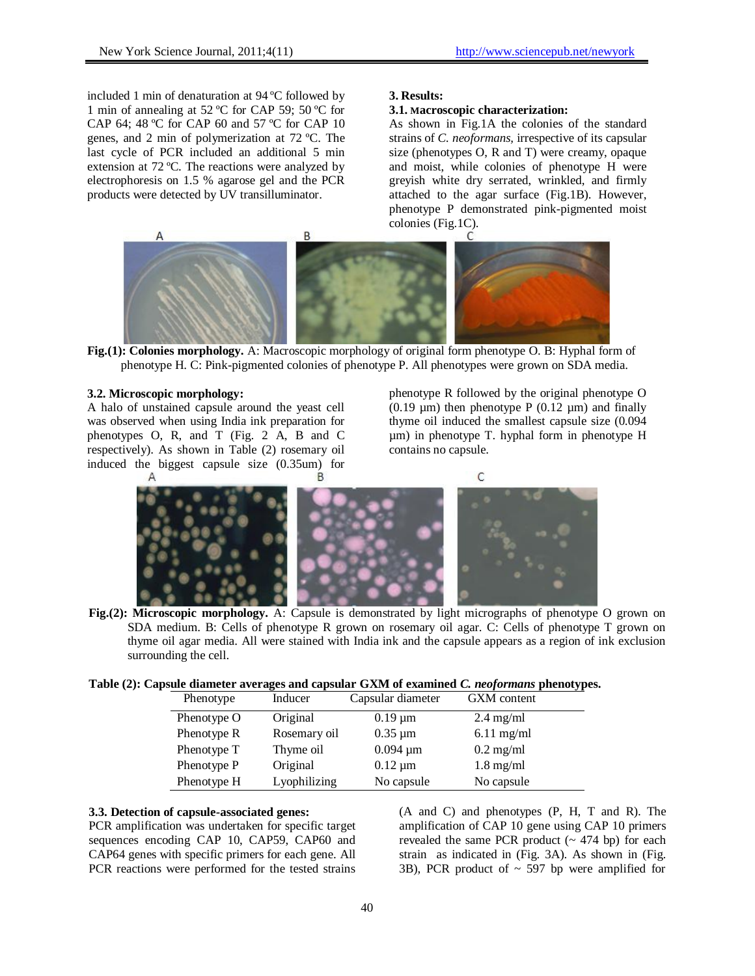included 1 min of denaturation at 94 ºC followed by 1 min of annealing at 52 ºC for CAP 59; 50 ºC for CAP 64; 48 ºC for CAP 60 and 57 ºC for CAP 10 genes, and 2 min of polymerization at 72 ºC. The last cycle of PCR included an additional 5 min extension at 72 ºC. The reactions were analyzed by electrophoresis on 1.5 % agarose gel and the PCR products were detected by UV transilluminator.

### **3. Results:**

#### **3.1. Macroscopic characterization:**

As shown in Fig.1A the colonies of the standard strains of *C. neoformans,* irrespective of its capsular size (phenotypes O, R and T) were creamy, opaque and moist, while colonies of phenotype H were greyish white dry serrated, wrinkled, and firmly attached to the agar surface (Fig.1B). However, phenotype P demonstrated pink-pigmented moist colonies (Fig.1C).



**Fig.(1): Colonies morphology.** A: Macroscopic morphology of original form phenotype O. B: Hyphal form of phenotype H. C: Pink-pigmented colonies of phenotype P. All phenotypes were grown on SDA media.

### **3.2. Microscopic morphology:**

A halo of unstained capsule around the yeast cell was observed when using India ink preparation for phenotypes O, R, and T (Fig. 2 A, B and C respectively). As shown in Table (2) rosemary oil induced the biggest capsule size (0.35um) for phenotype R followed by the original phenotype O (0.19  $\mu$ m) then phenotype P (0.12  $\mu$ m) and finally thyme oil induced the smallest capsule size (0.094 µm) in phenotype T. hyphal form in phenotype H contains no capsule.



**Fig.(2): Microscopic morphology.** A: Capsule is demonstrated by light micrographs of phenotype O grown on SDA medium. B: Cells of phenotype R grown on rosemary oil agar. C: Cells of phenotype T grown on thyme oil agar media. All were stained with India ink and the capsule appears as a region of ink exclusion surrounding the cell.

|  | Table (2): Capsule diameter averages and capsular GXM of examined C. neoformans phenotypes. |  |  |  |
|--|---------------------------------------------------------------------------------------------|--|--|--|
|--|---------------------------------------------------------------------------------------------|--|--|--|

| Phenotype   | Inducer      | Capsular diameter | GXM content         |
|-------------|--------------|-------------------|---------------------|
| Phenotype O | Original     | $0.19 \mu m$      | $2.4 \text{ mg/ml}$ |
| Phenotype R | Rosemary oil | $0.35 \mu m$      | $6.11$ mg/ml        |
| Phenotype T | Thyme oil    | $0.094 \mu m$     | $0.2 \text{ mg/ml}$ |
| Phenotype P | Original     | $0.12 \mu m$      | $1.8 \text{ mg/ml}$ |
| Phenotype H | Lyophilizing | No capsule        | No capsule          |

## **3.3. Detection of capsule-associated genes:**

PCR amplification was undertaken for specific target sequences encoding CAP 10, CAP59, CAP60 and CAP64 genes with specific primers for each gene. All PCR reactions were performed for the tested strains

(A and C) and phenotypes (P, H, T and R). The amplification of CAP 10 gene using CAP 10 primers revealed the same PCR product  $($   $\sim$  474 bp) for each strain as indicated in (Fig. 3A). As shown in (Fig. 3B), PCR product of  $\sim$  597 bp were amplified for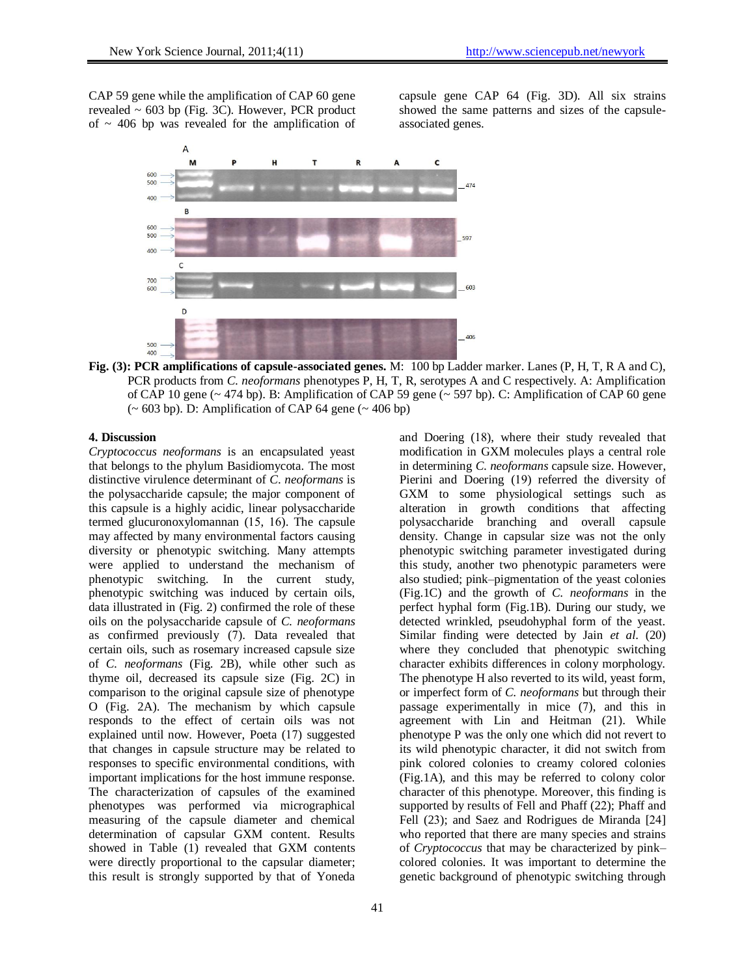CAP 59 gene while the amplification of CAP 60 gene revealed  $\sim$  603 bp (Fig. 3C). However, PCR product of  $\sim$  406 bp was revealed for the amplification of

capsule gene CAP 64 (Fig. 3D). All six strains showed the same patterns and sizes of the capsuleassociated genes.



**Fig. (3): PCR amplifications of capsule-associated genes.** M: 100 bp Ladder marker. Lanes (P, H, T, R A and C), PCR products from *C. neoformans* phenotypes P, H, T, R, serotypes A and C respectively. A: Amplification of CAP 10 gene (~ 474 bp). B: Amplification of CAP 59 gene (~ 597 bp). C: Amplification of CAP 60 gene  $({\sim 603 \text{ bp}})$ . D: Amplification of CAP 64 gene  $({\sim 406 \text{ bp}})$ 

## **4. Discussion**

*Cryptococcus neoformans* is an encapsulated yeast that belongs to the phylum Basidiomycota. The most distinctive virulence determinant of *C*. *neoformans* is the polysaccharide capsule; the major component of this capsule is a highly acidic, linear polysaccharide termed glucuronoxylomannan  $(15, 16)$ . The capsule may affected by many environmental factors causing diversity or phenotypic switching. Many attempts were applied to understand the mechanism of phenotypic switching. In the current study, phenotypic switching was induced by certain oils, data illustrated in (Fig. 2) confirmed the role of these oils on the polysaccharide capsule of *C. neoformans* as confirmed previously (7). Data revealed that certain oils, such as rosemary increased capsule size of *C. neoformans* (Fig. 2B), while other such as thyme oil, decreased its capsule size (Fig. 2C) in comparison to the original capsule size of phenotype O (Fig. 2A). The mechanism by which capsule responds to the effect of certain oils was not explained until now. However, Poeta (17) suggested that changes in capsule structure may be related to responses to specific environmental conditions, with important implications for the host immune response. The characterization of capsules of the examined phenotypes was performed via micrographical measuring of the capsule diameter and chemical determination of capsular GXM content. Results showed in Table (1) revealed that GXM contents were directly proportional to the capsular diameter; this result is strongly supported by that of Yoneda

in determining *C. neoformans* capsule size. However, Pierini and Doering (19) referred the diversity of GXM to some physiological settings such as alteration in growth conditions that affecting polysaccharide branching and overall capsule density. Change in capsular size was not the only phenotypic switching parameter investigated during this study, another two phenotypic parameters were also studied; pink–pigmentation of the yeast colonies (Fig.1C) and the growth of *C. neoformans* in the perfect hyphal form (Fig.1B). During our study, we detected wrinkled, pseudohyphal form of the yeast. Similar finding were detected by Jain *et al*. (20) where they concluded that phenotypic switching character exhibits differences in colony morphology. The phenotype H also reverted to its wild, yeast form, or imperfect form of *C. neoformans* but through their passage experimentally in mice (7), and this in agreement with Lin and Heitman (21). While phenotype P was the only one which did not revert to its wild phenotypic character, it did not switch from pink colored colonies to creamy colored colonies (Fig.1A), and this may be referred to colony color character of this phenotype. Moreover, this finding is supported by results of Fell and Phaff (22); Phaff and Fell (23); and Saez and Rodrigues de Miranda [21] who reported that there are many species and strains of *Cryptococcus* that may be characterized by pink– colored colonies. It was important to determine the genetic background of phenotypic switching through

and Doering (18), where their study revealed that modification in GXM molecules plays a central role